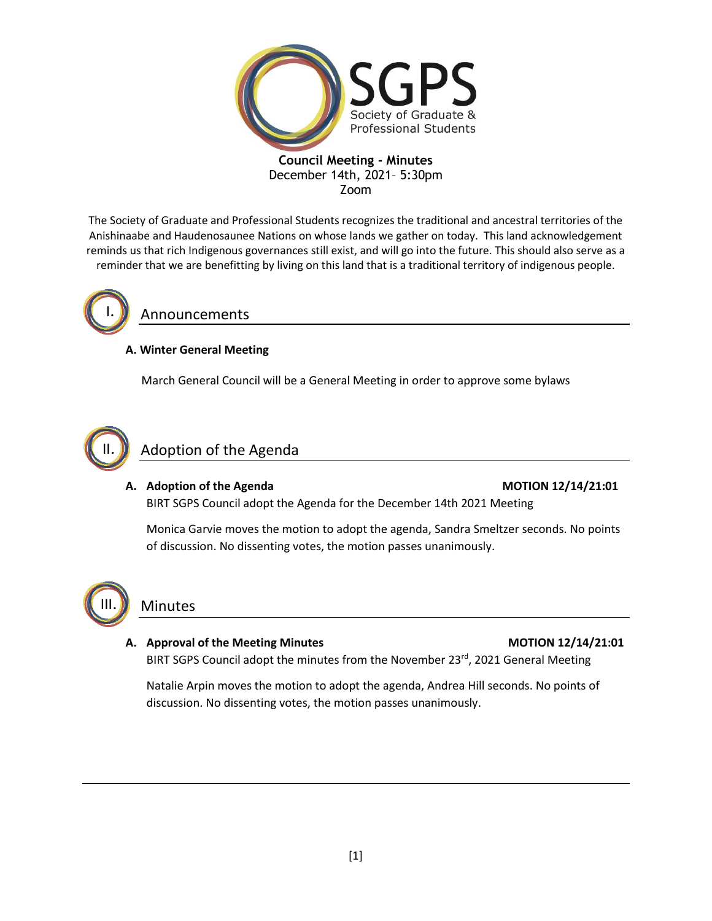

The Society of Graduate and Professional Students recognizes the traditional and ancestral territories of the Anishinaabe and Haudenosaunee Nations on whose lands we gather on today. This land acknowledgement reminds us that rich Indigenous governances still exist, and will go into the future. This should also serve as a reminder that we are benefitting by living on this land that is a traditional territory of indigenous people.



# Announcements

# **A. Winter General Meeting**

March General Council will be a General Meeting in order to approve some bylaws



# Adoption of the Agenda

# A. Adoption of the Agenda **MOTION 12/14/21:01** BIRT SGPS Council adopt the Agenda for the December 14th 2021 Meeting

Monica Garvie moves the motion to adopt the agenda, Sandra Smeltzer seconds. No points of discussion. No dissenting votes, the motion passes unanimously.



# Minutes

# A. Approval of the Meeting Minutes **MOTION 12/14/21:01**

BIRT SGPS Council adopt the minutes from the November 23<sup>rd</sup>, 2021 General Meeting

Natalie Arpin moves the motion to adopt the agenda, Andrea Hill seconds. No points of discussion. No dissenting votes, the motion passes unanimously.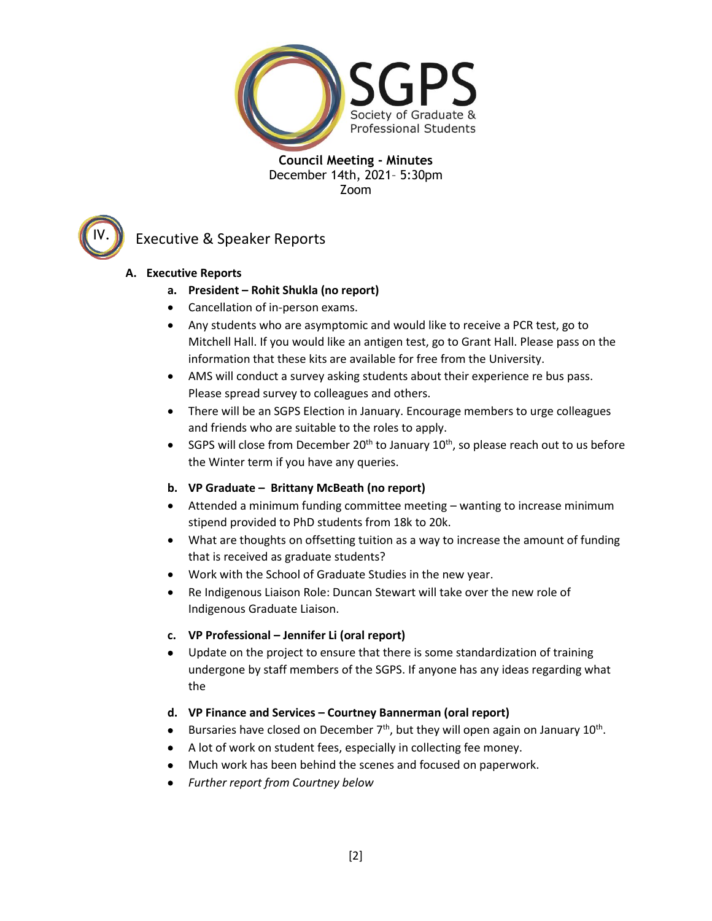



# Executive & Speaker Reports

# **A. Executive Reports**

- **a. President – Rohit Shukla (no report)**
- Cancellation of in-person exams.
- Any students who are asymptomic and would like to receive a PCR test, go to Mitchell Hall. If you would like an antigen test, go to Grant Hall. Please pass on the information that these kits are available for free from the University.
- AMS will conduct a survey asking students about their experience re bus pass. Please spread survey to colleagues and others.
- There will be an SGPS Election in January. Encourage members to urge colleagues and friends who are suitable to the roles to apply.
- SGPS will close from December 20<sup>th</sup> to January  $10^{th}$ , so please reach out to us before the Winter term if you have any queries.

# **b. VP Graduate – Brittany McBeath (no report)**

- Attended a minimum funding committee meeting wanting to increase minimum stipend provided to PhD students from 18k to 20k.
- What are thoughts on offsetting tuition as a way to increase the amount of funding that is received as graduate students?
- Work with the School of Graduate Studies in the new year.
- Re Indigenous Liaison Role: Duncan Stewart will take over the new role of Indigenous Graduate Liaison.

# **c. VP Professional – Jennifer Li (oral report)**

- Update on the project to ensure that there is some standardization of training undergone by staff members of the SGPS. If anyone has any ideas regarding what the
- **d. VP Finance and Services – Courtney Bannerman (oral report)**
- Bursaries have closed on December  $7<sup>th</sup>$ , but they will open again on January 10<sup>th</sup>.
- A lot of work on student fees, especially in collecting fee money.
- Much work has been behind the scenes and focused on paperwork.
- *Further report from Courtney below*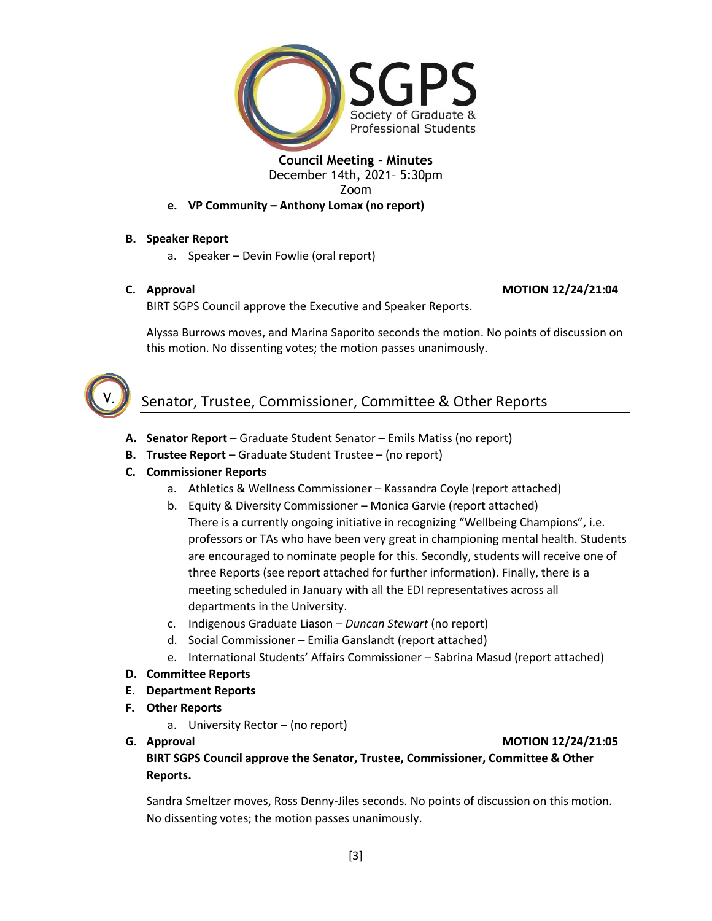

# **e. VP Community – Anthony Lomax (no report)**

# **B. Speaker Report**

a. Speaker – Devin Fowlie (oral report)

## **C. Approval MOTION 12/24/21:04**

BIRT SGPS Council approve the Executive and Speaker Reports.

Alyssa Burrows moves, and Marina Saporito seconds the motion. No points of discussion on this motion. No dissenting votes; the motion passes unanimously.



# Senator, Trustee, Commissioner, Committee & Other Reports

- **A. Senator Report**  Graduate Student Senator Emils Matiss (no report)
- **B. Trustee Report**  Graduate Student Trustee (no report)
- **C. Commissioner Reports**
	- a. Athletics & Wellness Commissioner Kassandra Coyle (report attached)
	- b. Equity & Diversity Commissioner Monica Garvie (report attached) There is a currently ongoing initiative in recognizing "Wellbeing Champions", i.e. professors or TAs who have been very great in championing mental health. Students are encouraged to nominate people for this. Secondly, students will receive one of three Reports (see report attached for further information). Finally, there is a meeting scheduled in January with all the EDI representatives across all departments in the University.
	- c. Indigenous Graduate Liason *Duncan Stewart* (no report)
	- d. Social Commissioner Emilia Ganslandt (report attached)
	- e. International Students' Affairs Commissioner Sabrina Masud (report attached)
- **D. Committee Reports**
- **E. Department Reports**
- **F. Other Reports**
	- a. University Rector (no report)
- 

#### **G. Approval MOTION 12/24/21:05**

**BIRT SGPS Council approve the Senator, Trustee, Commissioner, Committee & Other Reports.**

Sandra Smeltzer moves, Ross Denny-Jiles seconds. No points of discussion on this motion. No dissenting votes; the motion passes unanimously.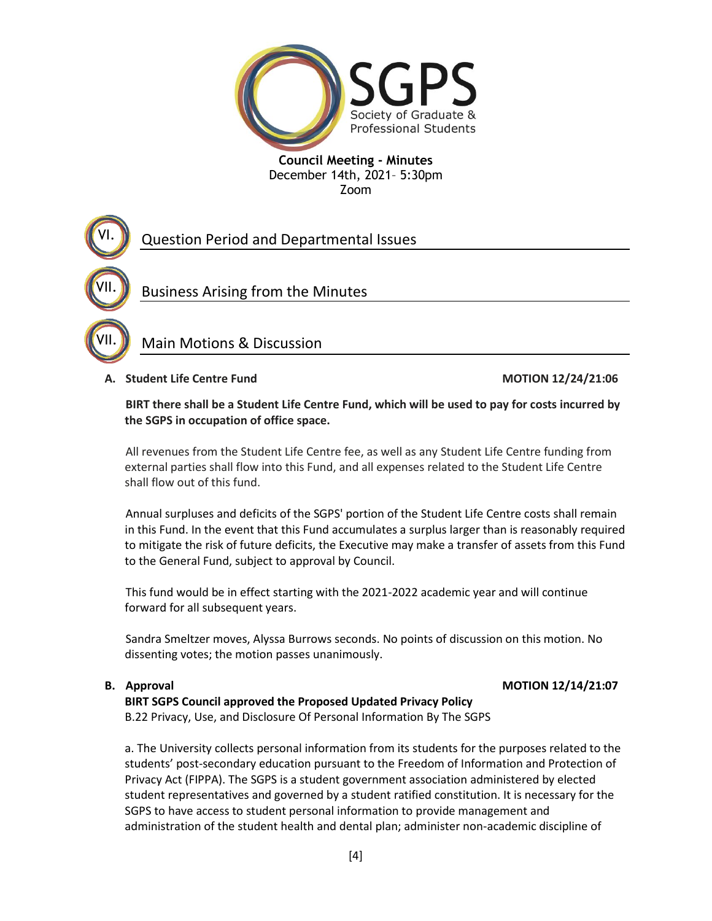

# Question Period and Departmental Issues

Business Arising from the Minutes

# Main Motions & Discussion

## **A. Student Life Centre Fund MOTION 12/24/21:06**

VI.

VII.

VII.

**BIRT there shall be a Student Life Centre Fund, which will be used to pay for costs incurred by the SGPS in occupation of office space.** 

All revenues from the Student Life Centre fee, as well as any Student Life Centre funding from external parties shall flow into this Fund, and all expenses related to the Student Life Centre shall flow out of this fund.

Annual surpluses and deficits of the SGPS' portion of the Student Life Centre costs shall remain in this Fund. In the event that this Fund accumulates a surplus larger than is reasonably required to mitigate the risk of future deficits, the Executive may make a transfer of assets from this Fund to the General Fund, subject to approval by Council.

This fund would be in effect starting with the 2021-2022 academic year and will continue forward for all subsequent years.

Sandra Smeltzer moves, Alyssa Burrows seconds. No points of discussion on this motion. No dissenting votes; the motion passes unanimously.

## **B.** Approval **MOTION 12/14/21:07**

# **BIRT SGPS Council approved the Proposed Updated Privacy Policy**

B.22 Privacy, Use, and Disclosure Of Personal Information By The SGPS

a. The University collects personal information from its students for the purposes related to the students' post-secondary education pursuant to the Freedom of Information and Protection of Privacy Act (FIPPA). The SGPS is a student government association administered by elected student representatives and governed by a student ratified constitution. It is necessary for the SGPS to have access to student personal information to provide management and administration of the student health and dental plan; administer non-academic discipline of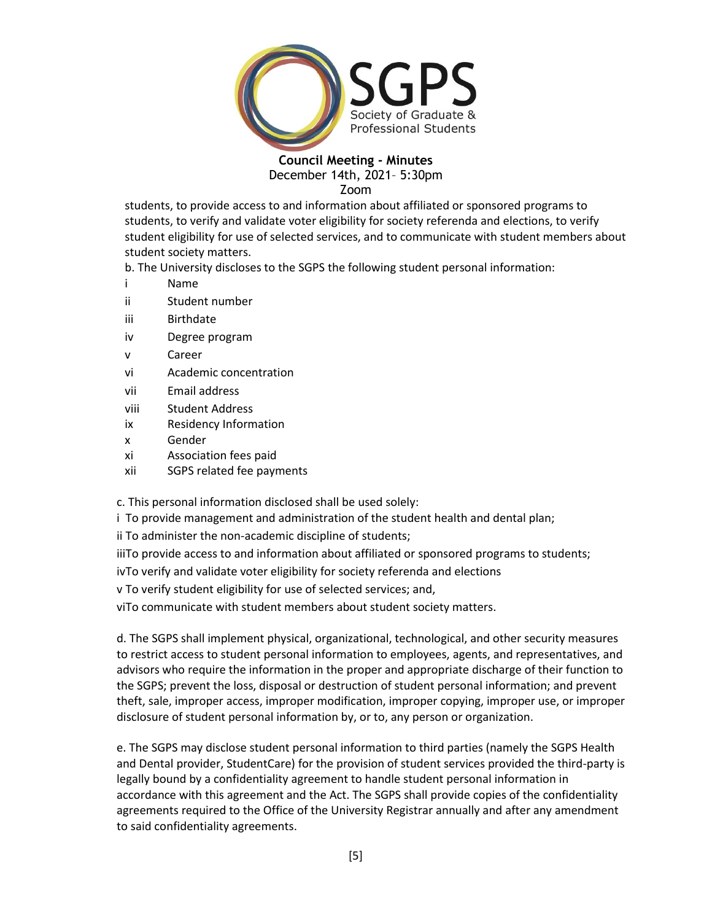

students, to provide access to and information about affiliated or sponsored programs to students, to verify and validate voter eligibility for society referenda and elections, to verify student eligibility for use of selected services, and to communicate with student members about student society matters.

b. The University discloses to the SGPS the following student personal information:

- i Name
- ii Student number
- iii Birthdate
- iv Degree program
- v Career
- vi Academic concentration
- vii Email address
- viii Student Address
- ix Residency Information
- x Gender
- xi Association fees paid
- xii SGPS related fee payments

c. This personal information disclosed shall be used solely:

i To provide management and administration of the student health and dental plan;

ii To administer the non-academic discipline of students;

iiiTo provide access to and information about affiliated or sponsored programs to students;

ivTo verify and validate voter eligibility for society referenda and elections

v To verify student eligibility for use of selected services; and,

viTo communicate with student members about student society matters.

d. The SGPS shall implement physical, organizational, technological, and other security measures to restrict access to student personal information to employees, agents, and representatives, and advisors who require the information in the proper and appropriate discharge of their function to the SGPS; prevent the loss, disposal or destruction of student personal information; and prevent theft, sale, improper access, improper modification, improper copying, improper use, or improper disclosure of student personal information by, or to, any person or organization.

e. The SGPS may disclose student personal information to third parties (namely the SGPS Health and Dental provider, StudentCare) for the provision of student services provided the third-party is legally bound by a confidentiality agreement to handle student personal information in accordance with this agreement and the Act. The SGPS shall provide copies of the confidentiality agreements required to the Office of the University Registrar annually and after any amendment to said confidentiality agreements.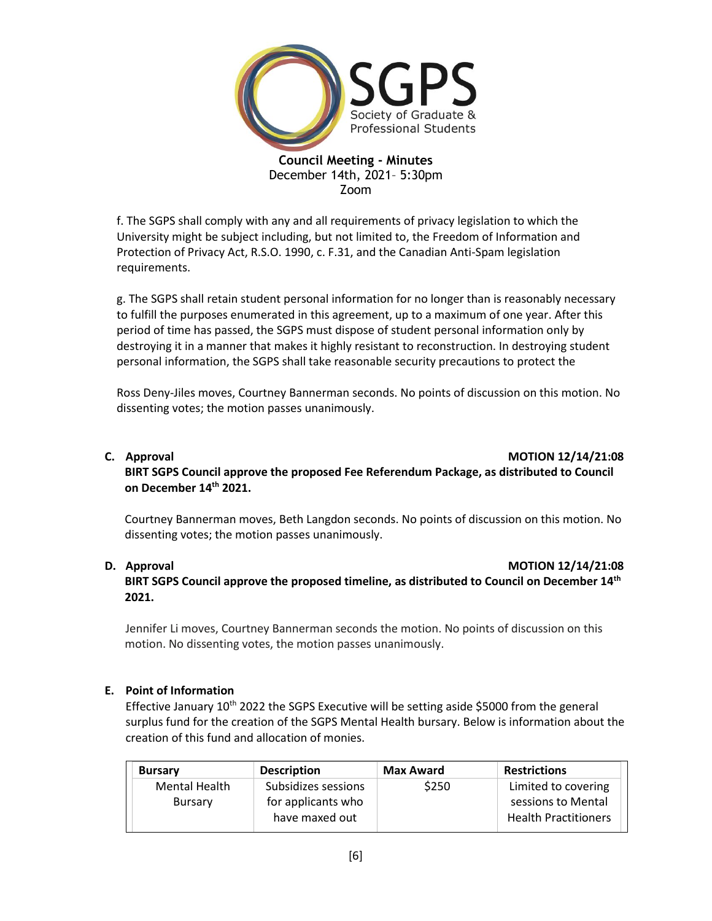

f. The SGPS shall comply with any and all requirements of privacy legislation to which the University might be subject including, but not limited to, the Freedom of Information and Protection of Privacy Act, R.S.O. 1990, c. F.31, and the Canadian Anti-Spam legislation requirements.

g. The SGPS shall retain student personal information for no longer than is reasonably necessary to fulfill the purposes enumerated in this agreement, up to a maximum of one year. After this period of time has passed, the SGPS must dispose of student personal information only by destroying it in a manner that makes it highly resistant to reconstruction. In destroying student personal information, the SGPS shall take reasonable security precautions to protect the

Ross Deny-Jiles moves, Courtney Bannerman seconds. No points of discussion on this motion. No dissenting votes; the motion passes unanimously.

#### **C. Approval MOTION 12/14/21:08**

**BIRT SGPS Council approve the proposed Fee Referendum Package, as distributed to Council on December 14th 2021.**

Courtney Bannerman moves, Beth Langdon seconds. No points of discussion on this motion. No dissenting votes; the motion passes unanimously.

#### **D.** Approval **D.** Approval **MOTION 12/14/21:08**

**BIRT SGPS Council approve the proposed timeline, as distributed to Council on December 14th 2021.**

Jennifer Li moves, Courtney Bannerman seconds the motion. No points of discussion on this motion. No dissenting votes, the motion passes unanimously.

## **E. Point of Information**

Effective January 10<sup>th</sup> 2022 the SGPS Executive will be setting aside \$5000 from the general surplus fund for the creation of the SGPS Mental Health bursary. Below is information about the creation of this fund and allocation of monies.

| <b>Bursary</b>       | <b>Description</b>                   | <b>Max Award</b> | <b>Restrictions</b>                               |
|----------------------|--------------------------------------|------------------|---------------------------------------------------|
| <b>Mental Health</b> | Subsidizes sessions                  | \$250            | Limited to covering                               |
| <b>Bursary</b>       | for applicants who<br>have maxed out |                  | sessions to Mental<br><b>Health Practitioners</b> |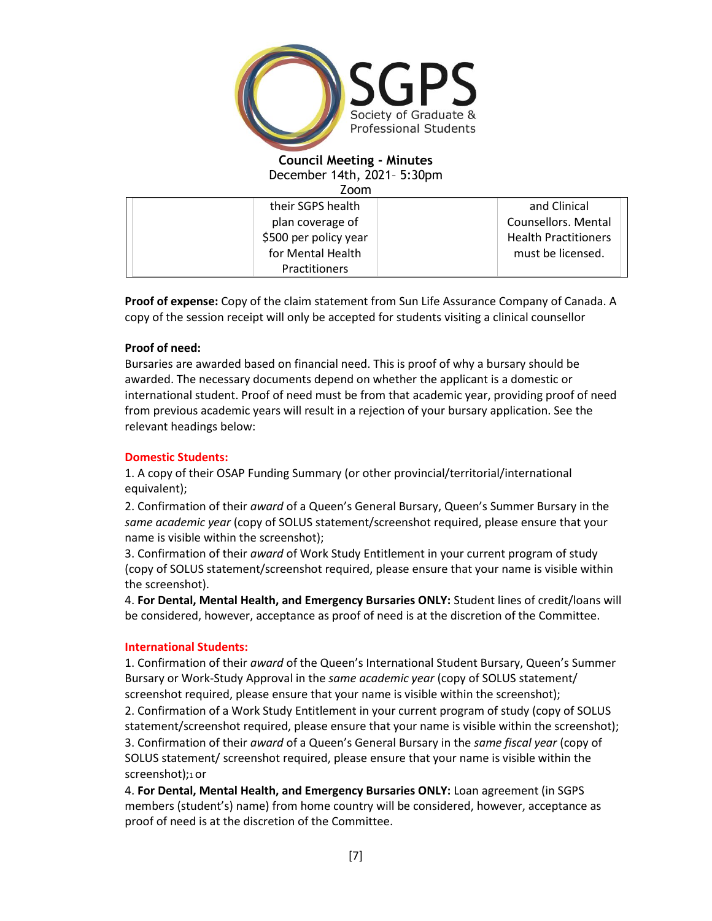

Zoom

| their SGPS health     | and Clinical                |
|-----------------------|-----------------------------|
| plan coverage of      | Counsellors. Mental         |
| \$500 per policy year | <b>Health Practitioners</b> |
| for Mental Health     | must be licensed.           |
| <b>Practitioners</b>  |                             |

**Proof of expense:** Copy of the claim statement from Sun Life Assurance Company of Canada. A copy of the session receipt will only be accepted for students visiting a clinical counsellor

## **Proof of need:**

Bursaries are awarded based on financial need. This is proof of why a bursary should be awarded. The necessary documents depend on whether the applicant is a domestic or international student. Proof of need must be from that academic year, providing proof of need from previous academic years will result in a rejection of your bursary application. See the relevant headings below:

## **Domestic Students:**

1. A copy of their OSAP Funding Summary (or other provincial/territorial/international equivalent);

2. Confirmation of their *award* of a Queen's General Bursary, Queen's Summer Bursary in the *same academic year* (copy of SOLUS statement/screenshot required, please ensure that your name is visible within the screenshot);

3. Confirmation of their *award* of Work Study Entitlement in your current program of study (copy of SOLUS statement/screenshot required, please ensure that your name is visible within the screenshot).

4. **For Dental, Mental Health, and Emergency Bursaries ONLY:** Student lines of credit/loans will be considered, however, acceptance as proof of need is at the discretion of the Committee.

## **International Students:**

1. Confirmation of their *award* of the Queen's International Student Bursary, Queen's Summer Bursary or Work-Study Approval in the *same academic year* (copy of SOLUS statement/ screenshot required, please ensure that your name is visible within the screenshot); 2. Confirmation of a Work Study Entitlement in your current program of study (copy of SOLUS statement/screenshot required, please ensure that your name is visible within the screenshot); 3. Confirmation of their *award* of a Queen's General Bursary in the *same fiscal year* (copy of SOLUS statement/ screenshot required, please ensure that your name is visible within the screenshot);1 or

4. **For Dental, Mental Health, and Emergency Bursaries ONLY:** Loan agreement (in SGPS members (student's) name) from home country will be considered, however, acceptance as proof of need is at the discretion of the Committee.